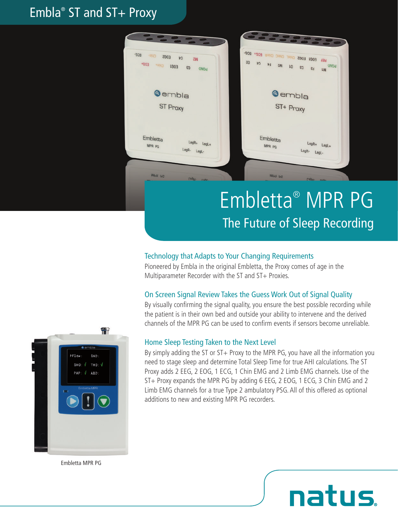# Embla® ST and ST+ Proxy



### Technology that Adapts to Your Changing Requirements

Pioneered by Embla in the original Embletta, the Proxy comes of age in the Multiparameter Recorder with the ST and ST+ Proxies.

#### On Screen Signal Review Takes the Guess Work Out of Signal Quality

By visually confirming the signal quality, you ensure the best possible recording while the patient is in their own bed and outside your ability to intervene and the derived channels of the MPR PG can be used to confirm events if sensors become unreliable.

### Home Sleep Testing Taken to the Next Level

By simply adding the ST or  $ST+$  Proxy to the MPR PG, you have all the information you need to stage sleep and determine Total Sleep Time for true AHI calculations. The ST Proxy adds 2 EEG, 2 EOG, 1 ECG, 1 Chin EMG and 2 Limb EMG channels. Use of the ST+ Proxy expands the MPR PG by adding 6 EEG, 2 EOG, 1 ECG, 3 Chin EMG and 2 Limb EMG channels for a true Type 2 ambulatory PSG. All of this offered as optional additions to new and existing MPR PG recorders.

natus



Embletta MPR PG